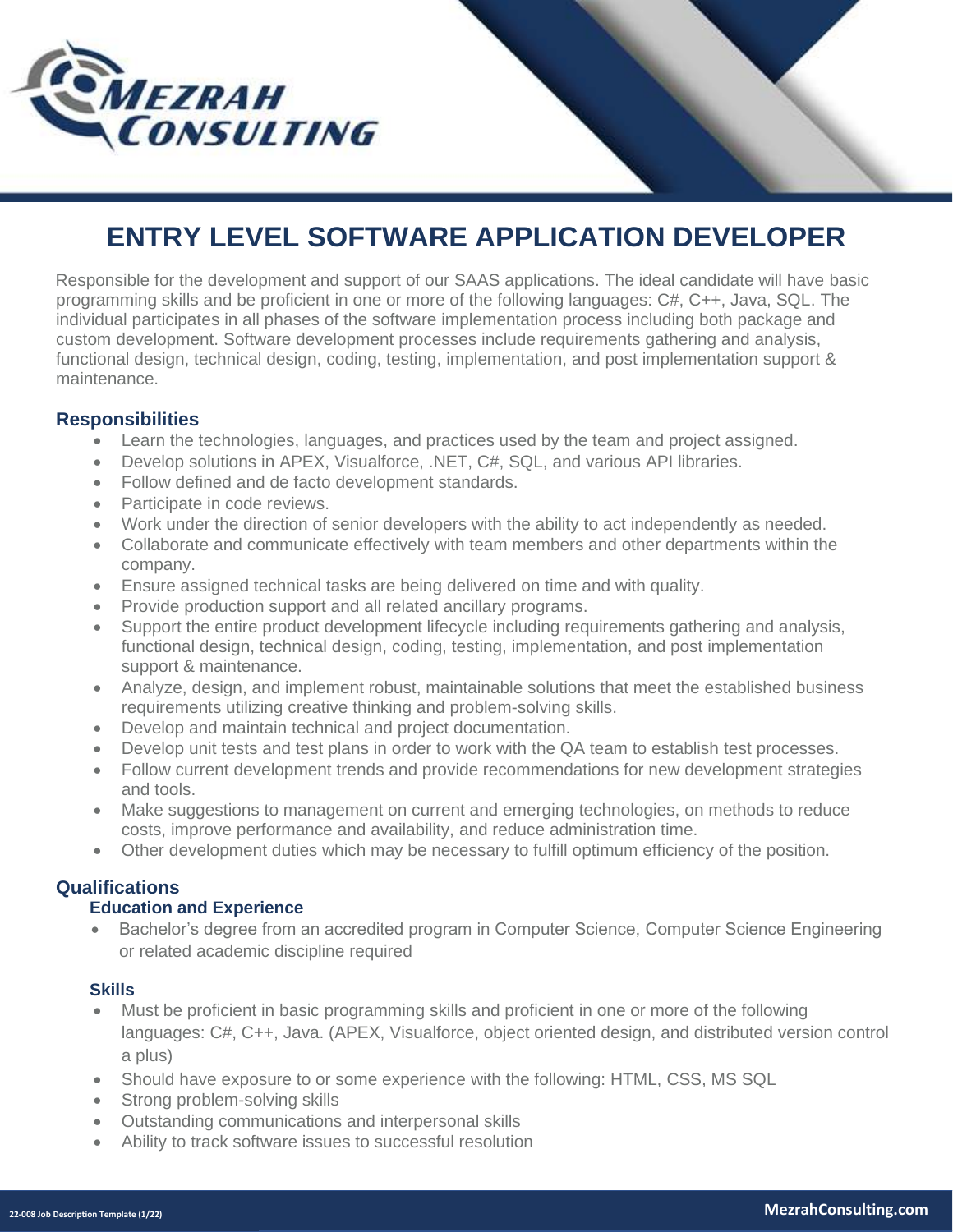

# **ENTRY LEVEL SOFTWARE APPLICATION DEVELOPER**

Responsible for the development and support of our SAAS applications. The ideal candidate will have basic programming skills and be proficient in one or more of the following languages: C#, C++, Java, SQL. The individual participates in all phases of the software implementation process including both package and custom development. Software development processes include requirements gathering and analysis, functional design, technical design, coding, testing, implementation, and post implementation support & maintenance.

## **Responsibilities**

- Learn the technologies, languages, and practices used by the team and project assigned.
- Develop solutions in APEX, Visualforce, .NET, C#, SQL, and various API libraries.
- Follow defined and de facto development standards.
- Participate in code reviews.
- Work under the direction of senior developers with the ability to act independently as needed.
- Collaborate and communicate effectively with team members and other departments within the company.
- Ensure assigned technical tasks are being delivered on time and with quality.
- Provide production support and all related ancillary programs.
- Support the entire product development lifecycle including requirements gathering and analysis, functional design, technical design, coding, testing, implementation, and post implementation support & maintenance.
- Analyze, design, and implement robust, maintainable solutions that meet the established business requirements utilizing creative thinking and problem-solving skills.
- Develop and maintain technical and project documentation.
- Develop unit tests and test plans in order to work with the QA team to establish test processes.
- Follow current development trends and provide recommendations for new development strategies and tools.
- Make suggestions to management on current and emerging technologies, on methods to reduce costs, improve performance and availability, and reduce administration time.
- Other development duties which may be necessary to fulfill optimum efficiency of the position.

## **Qualifications**

# **Education and Experience**

• Bachelor's degree from an accredited program in Computer Science, Computer Science Engineering or related academic discipline required

## **Skills**

- Must be proficient in basic programming skills and proficient in one or more of the following languages: C#, C++, Java. (APEX, Visualforce, object oriented design, and distributed version control a plus)
- Should have exposure to or some experience with the following: HTML, CSS, MS SQL
- Strong problem-solving skills
- Outstanding communications and interpersonal skills
- Ability to track software issues to successful resolution